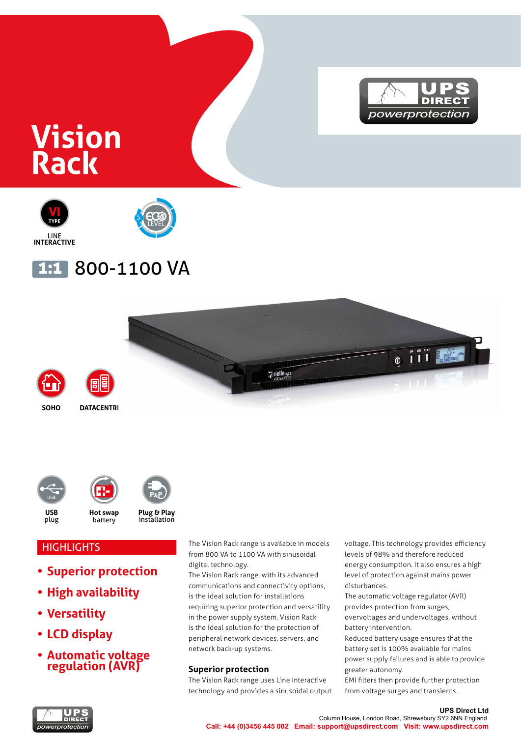

# **Vision Rack**



## 1:1 800-1100 VA







**HIGHLIGHTS** 

- **• Superior protection**
- **• High availability**
- **• Versatility**
- **• LCD display**
- **• Automatic voltage regulation (AVR)**

The Vision Rack range is available in models from 800 VA to 1100 VA with sinusoidal digital technology.

The Vision Rack range, with its advanced communications and connectivity options, is the ideal solution for installations requiring superior protection and versatility in the power supply system. Vision Rack is the ideal solution for the protection of peripheral network devices, servers, and network back-up systems.

#### **Superior protection**

The Vision Rack range uses Line Interactive technology and provides a sinusoidal output voltage. This technology provides efficiency levels of 98% and therefore reduced energy consumption. It also ensures a high level of protection against mains power disturbances.

The automatic voltage regulator (AVR) provides protection from surges, overvoltages and undervoltages, without battery intervention.

Reduced battery usage ensures that the battery set is 100% available for mains power supply failures and is able to provide greater autonomy.

EMI filters then provide further protection from voltage surges and transients.

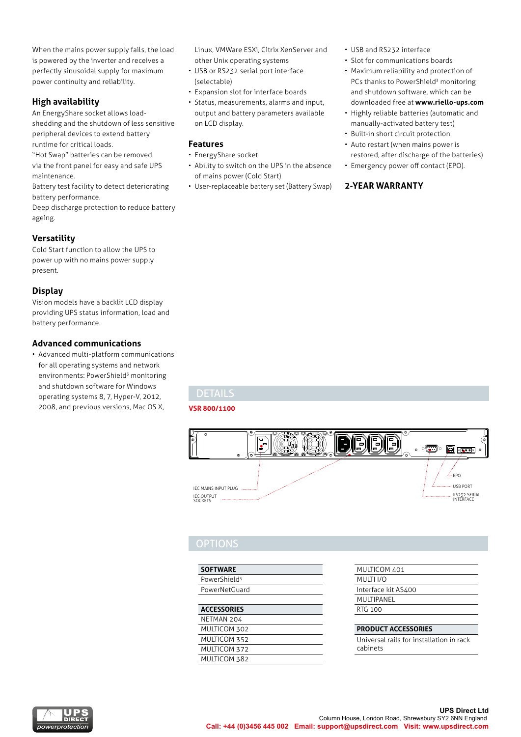When the mains power supply fails, the load is powered by the inverter and receives a perfectly sinusoidal supply for maximum power continuity and reliability.

#### **High availability**

An EnergyShare socket allows loadshedding and the shutdown of less sensitive peripheral devices to extend battery runtime for critical loads.

"Hot Swap" batteries can be removed via the front panel for easy and safe UPS maintenance.

Battery test facility to detect deteriorating battery performance.

Deep discharge protection to reduce battery ageing.

#### **Versatility**

Cold Start function to allow the UPS to power up with no mains power supply present.

#### **Display**

Vision models have a backlit LCD display providing UPS status information, load and battery performance.

#### **Advanced communications**

• Advanced multi-platform communications for all operating systems and network environments: PowerShield<sup>3</sup> monitoring and shutdown software for Windows operating systems 8, 7, Hyper-V, 2012, 2008, and previous versions, Mac OS X,

Linux, VMWare ESXi, Citrix XenServer and other Unix operating systems

- USB or RS232 serial port interface (selectable)
- Expansion slot for interface boards
- Status, measurements, alarms and input, output and battery parameters available on LCD display.

#### **Features**

- EnergyShare socket
- Ability to switch on the UPS in the absence of mains power (Cold Start)
- User-replaceable battery set (Battery Swap)

• USB and RS232 interface

- Slot for communications boards
- and sharesomn sortmand, minericality of the sharesomn system of the shares of the shares of the shares of the s • Maximum reliability and protection of PCs thanks to PowerShield<sup>3</sup> monitoring and shutdown software, which can be
- **Callistical Station Community Community** Computers available **•** Highly reliable batteries (automatic and **1996** manually-activated battery test)
	- Built-in short circuit protection
	- Auto restart (when mains power is restored, after discharge of the batteries) • Emergency power off contact (EPO).
	- **2-YEAR WARRANTY**

### DETAILS

**VSR 800/1100**



#### **OPTIONS**

| <b>SOFTWARE</b>          |  |
|--------------------------|--|
| PowerShield <sup>3</sup> |  |
| PowerNetGuard            |  |
|                          |  |

#### **ACCESSORIES**

| NETMAN 204   |  |
|--------------|--|
| MULTICOM 302 |  |
| MULTICOM 352 |  |
| MULTICOM 372 |  |
| MULTICOM 382 |  |

| MULTICOM 401        |  |
|---------------------|--|
| MULTI I/O           |  |
| Interface kit AS400 |  |
| MULTIPANFI          |  |
| RTG 100             |  |
|                     |  |

#### **PRODUCT ACCESSORIES**

Universal rails for installation in rack cabinets